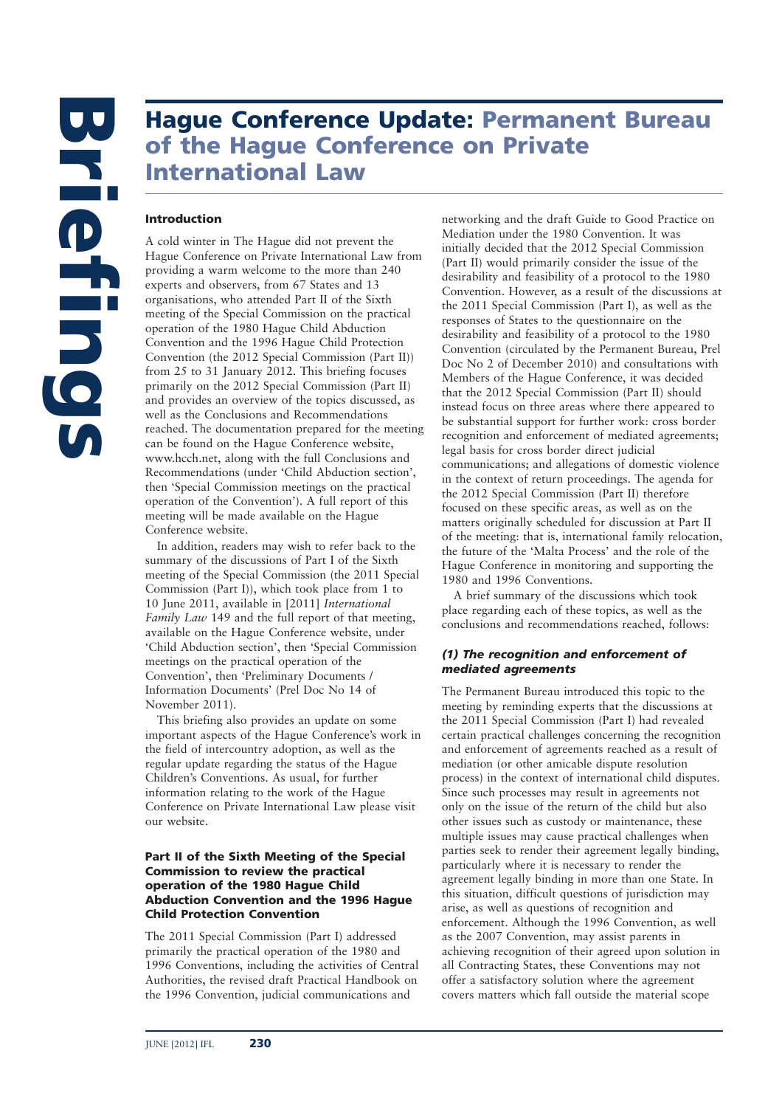# **Hague Conference Update: Permanent Bureau of the Hague Conference on Private International Law**

### **Introduction**

A cold winter in The Hague did not prevent the Hague Conference on Private International Law from providing a warm welcome to the more than 240 experts and observers, from 67 States and 13 organisations, who attended Part II of the Sixth meeting of the Special Commission on the practical operation of the 1980 Hague Child Abduction Convention and the 1996 Hague Child Protection Convention (the 2012 Special Commission (Part II)) from 25 to 31 January 2012. This briefing focuses primarily on the 2012 Special Commission (Part II) and provides an overview of the topics discussed, as well as the Conclusions and Recommendations reached. The documentation prepared for the meeting can be found on the Hague Conference website, www.hcch.net, along with the full Conclusions and Recommendations (under 'Child Abduction section', then 'Special Commission meetings on the practical operation of the Convention'). A full report of this meeting will be made available on the Hague Conference website.

In addition, readers may wish to refer back to the summary of the discussions of Part I of the Sixth meeting of the Special Commission (the 2011 Special Commission (Part I)), which took place from 1 to 10 June 2011, available in [2011] *International Family Law* 149 and the full report of that meeting, available on the Hague Conference website, under 'Child Abduction section', then 'Special Commission meetings on the practical operation of the Convention', then 'Preliminary Documents / Information Documents' (Prel Doc No 14 of November 2011).

This briefing also provides an update on some important aspects of the Hague Conference's work in the field of intercountry adoption, as well as the regular update regarding the status of the Hague Children's Conventions. As usual, for further information relating to the work of the Hague Conference on Private International Law please visit our website.

### **Part II of the Sixth Meeting of the Special Commission to review the practical operation of the 1980 Hague Child Abduction Convention and the 1996 Hague Child Protection Convention**

The 2011 Special Commission (Part I) addressed primarily the practical operation of the 1980 and 1996 Conventions, including the activities of Central Authorities, the revised draft Practical Handbook on the 1996 Convention, judicial communications and

networking and the draft Guide to Good Practice on Mediation under the 1980 Convention. It was initially decided that the 2012 Special Commission (Part II) would primarily consider the issue of the desirability and feasibility of a protocol to the 1980 Convention. However, as a result of the discussions at the 2011 Special Commission (Part I), as well as the responses of States to the questionnaire on the desirability and feasibility of a protocol to the 1980 Convention (circulated by the Permanent Bureau, Prel Doc No 2 of December 2010) and consultations with Members of the Hague Conference, it was decided that the 2012 Special Commission (Part II) should instead focus on three areas where there appeared to be substantial support for further work: cross border recognition and enforcement of mediated agreements; legal basis for cross border direct judicial communications; and allegations of domestic violence in the context of return proceedings. The agenda for the 2012 Special Commission (Part II) therefore focused on these specific areas, as well as on the matters originally scheduled for discussion at Part II of the meeting: that is, international family relocation, the future of the 'Malta Process' and the role of the Hague Conference in monitoring and supporting the 1980 and 1996 Conventions.

A brief summary of the discussions which took place regarding each of these topics, as well as the conclusions and recommendations reached, follows:

# *(1) The recognition and enforcement of mediated agreements*

The Permanent Bureau introduced this topic to the meeting by reminding experts that the discussions at the 2011 Special Commission (Part I) had revealed certain practical challenges concerning the recognition and enforcement of agreements reached as a result of mediation (or other amicable dispute resolution process) in the context of international child disputes. Since such processes may result in agreements not only on the issue of the return of the child but also other issues such as custody or maintenance, these multiple issues may cause practical challenges when parties seek to render their agreement legally binding, particularly where it is necessary to render the agreement legally binding in more than one State. In this situation, difficult questions of jurisdiction may arise, as well as questions of recognition and enforcement. Although the 1996 Convention, as well as the 2007 Convention, may assist parents in achieving recognition of their agreed upon solution in all Contracting States, these Conventions may not offer a satisfactory solution where the agreement covers matters which fall outside the material scope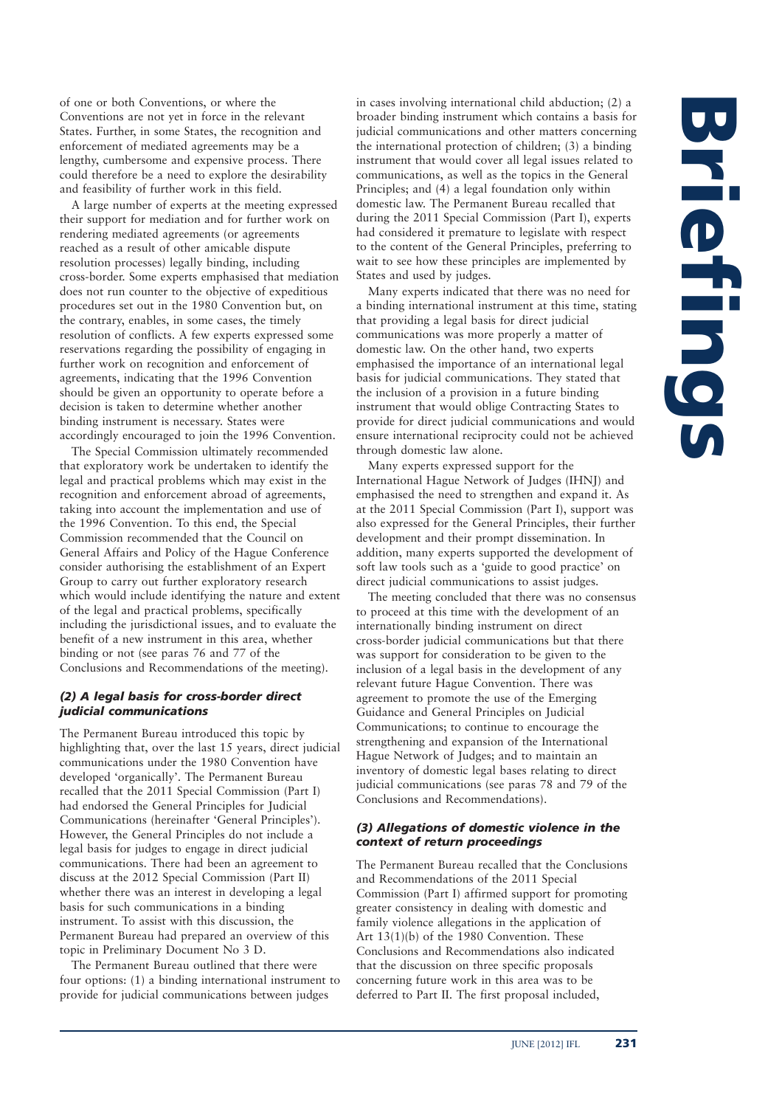of one or both Conventions, or where the Conventions are not yet in force in the relevant States. Further, in some States, the recognition and enforcement of mediated agreements may be a lengthy, cumbersome and expensive process. There could therefore be a need to explore the desirability and feasibility of further work in this field.

A large number of experts at the meeting expressed their support for mediation and for further work on rendering mediated agreements (or agreements reached as a result of other amicable dispute resolution processes) legally binding, including cross-border. Some experts emphasised that mediation does not run counter to the objective of expeditious procedures set out in the 1980 Convention but, on the contrary, enables, in some cases, the timely resolution of conflicts. A few experts expressed some reservations regarding the possibility of engaging in further work on recognition and enforcement of agreements, indicating that the 1996 Convention should be given an opportunity to operate before a decision is taken to determine whether another binding instrument is necessary. States were accordingly encouraged to join the 1996 Convention.

The Special Commission ultimately recommended that exploratory work be undertaken to identify the legal and practical problems which may exist in the recognition and enforcement abroad of agreements, taking into account the implementation and use of the 1996 Convention. To this end, the Special Commission recommended that the Council on General Affairs and Policy of the Hague Conference consider authorising the establishment of an Expert Group to carry out further exploratory research which would include identifying the nature and extent of the legal and practical problems, specifically including the jurisdictional issues, and to evaluate the benefit of a new instrument in this area, whether binding or not (see paras 76 and 77 of the Conclusions and Recommendations of the meeting).

### *(2) A legal basis for cross-border direct judicial communications*

The Permanent Bureau introduced this topic by highlighting that, over the last 15 years, direct judicial communications under the 1980 Convention have developed 'organically'. The Permanent Bureau recalled that the 2011 Special Commission (Part I) had endorsed the General Principles for Judicial Communications (hereinafter 'General Principles'). However, the General Principles do not include a legal basis for judges to engage in direct judicial communications. There had been an agreement to discuss at the 2012 Special Commission (Part II) whether there was an interest in developing a legal basis for such communications in a binding instrument. To assist with this discussion, the Permanent Bureau had prepared an overview of this topic in Preliminary Document No 3 D.

The Permanent Bureau outlined that there were four options: (1) a binding international instrument to provide for judicial communications between judges

in cases involving international child abduction; (2) a broader binding instrument which contains a basis for judicial communications and other matters concerning the international protection of children; (3) a binding instrument that would cover all legal issues related to communications, as well as the topics in the General Principles; and (4) a legal foundation only within domestic law. The Permanent Bureau recalled that during the 2011 Special Commission (Part I), experts had considered it premature to legislate with respect to the content of the General Principles, preferring to wait to see how these principles are implemented by States and used by judges.

Many experts indicated that there was no need for a binding international instrument at this time, stating that providing a legal basis for direct judicial communications was more properly a matter of domestic law. On the other hand, two experts emphasised the importance of an international legal basis for judicial communications. They stated that the inclusion of a provision in a future binding instrument that would oblige Contracting States to provide for direct judicial communications and would ensure international reciprocity could not be achieved through domestic law alone.

Many experts expressed support for the International Hague Network of Judges (IHNJ) and emphasised the need to strengthen and expand it. As at the 2011 Special Commission (Part I), support was also expressed for the General Principles, their further development and their prompt dissemination. In addition, many experts supported the development of soft law tools such as a 'guide to good practice' on direct judicial communications to assist judges.

The meeting concluded that there was no consensus to proceed at this time with the development of an internationally binding instrument on direct cross-border judicial communications but that there was support for consideration to be given to the inclusion of a legal basis in the development of any relevant future Hague Convention. There was agreement to promote the use of the Emerging Guidance and General Principles on Judicial Communications; to continue to encourage the strengthening and expansion of the International Hague Network of Judges; and to maintain an inventory of domestic legal bases relating to direct judicial communications (see paras 78 and 79 of the Conclusions and Recommendations).

### *(3) Allegations of domestic violence in the context of return proceedings*

The Permanent Bureau recalled that the Conclusions and Recommendations of the 2011 Special Commission (Part I) affirmed support for promoting greater consistency in dealing with domestic and family violence allegations in the application of Art 13(1)(b) of the 1980 Convention. These Conclusions and Recommendations also indicated that the discussion on three specific proposals concerning future work in this area was to be deferred to Part II. The first proposal included,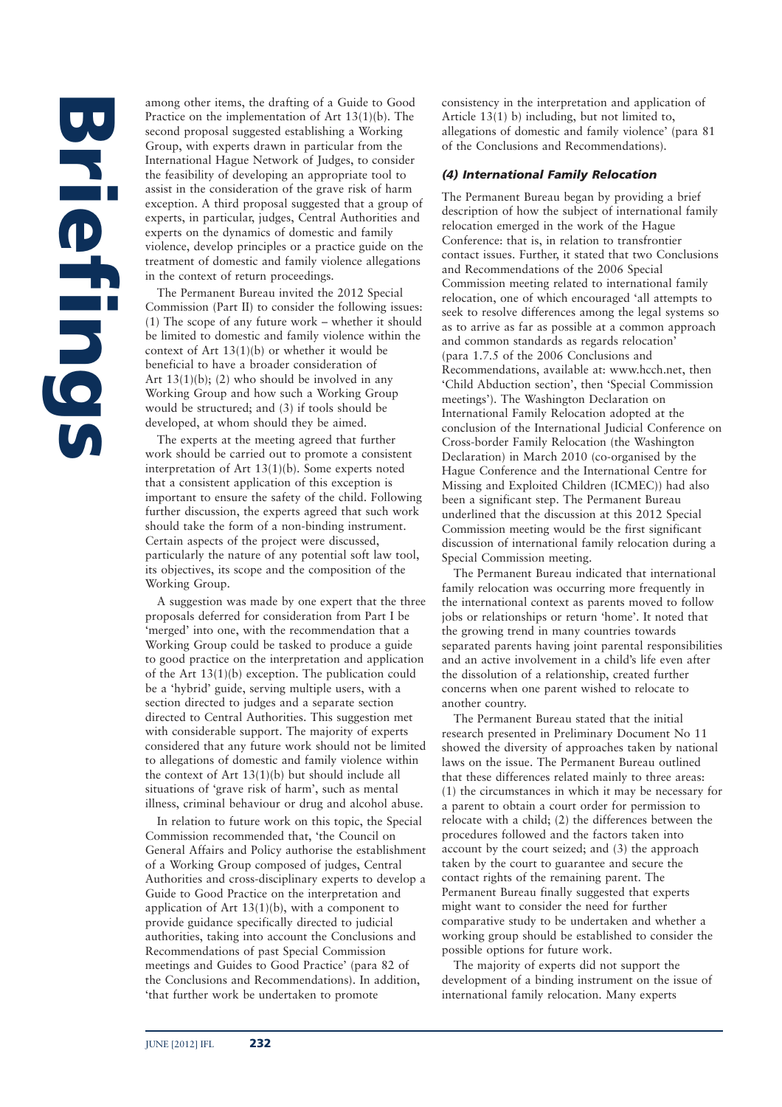among other items, the drafting of a Guide to Good Practice on the implementation of Art 13(1)(b). The second proposal suggested establishing a Working Group, with experts drawn in particular from the International Hague Network of Judges, to consider the feasibility of developing an appropriate tool to assist in the consideration of the grave risk of harm exception. A third proposal suggested that a group of experts, in particular, judges, Central Authorities and experts on the dynamics of domestic and family violence, develop principles or a practice guide on the treatment of domestic and family violence allegations in the context of return proceedings.

The Permanent Bureau invited the 2012 Special Commission (Part II) to consider the following issues: (1) The scope of any future work – whether it should be limited to domestic and family violence within the context of Art 13(1)(b) or whether it would be beneficial to have a broader consideration of Art  $13(1)(b)$ ; (2) who should be involved in any Working Group and how such a Working Group would be structured; and (3) if tools should be developed, at whom should they be aimed.

The experts at the meeting agreed that further work should be carried out to promote a consistent interpretation of Art 13(1)(b). Some experts noted that a consistent application of this exception is important to ensure the safety of the child. Following further discussion, the experts agreed that such work should take the form of a non-binding instrument. Certain aspects of the project were discussed, particularly the nature of any potential soft law tool, its objectives, its scope and the composition of the Working Group.

A suggestion was made by one expert that the three proposals deferred for consideration from Part I be 'merged' into one, with the recommendation that a Working Group could be tasked to produce a guide to good practice on the interpretation and application of the Art 13(1)(b) exception. The publication could be a 'hybrid' guide, serving multiple users, with a section directed to judges and a separate section directed to Central Authorities. This suggestion met with considerable support. The majority of experts considered that any future work should not be limited to allegations of domestic and family violence within the context of Art 13(1)(b) but should include all situations of 'grave risk of harm', such as mental illness, criminal behaviour or drug and alcohol abuse.

In relation to future work on this topic, the Special Commission recommended that, 'the Council on General Affairs and Policy authorise the establishment of a Working Group composed of judges, Central Authorities and cross-disciplinary experts to develop a Guide to Good Practice on the interpretation and application of Art 13(1)(b), with a component to provide guidance specifically directed to judicial authorities, taking into account the Conclusions and Recommendations of past Special Commission meetings and Guides to Good Practice' (para 82 of the Conclusions and Recommendations). In addition, 'that further work be undertaken to promote

consistency in the interpretation and application of Article 13(1) b) including, but not limited to, allegations of domestic and family violence' (para 81 of the Conclusions and Recommendations).

### *(4) International Family Relocation*

The Permanent Bureau began by providing a brief description of how the subject of international family relocation emerged in the work of the Hague Conference: that is, in relation to transfrontier contact issues. Further, it stated that two Conclusions and Recommendations of the 2006 Special Commission meeting related to international family relocation, one of which encouraged 'all attempts to seek to resolve differences among the legal systems so as to arrive as far as possible at a common approach and common standards as regards relocation' (para 1.7.5 of the 2006 Conclusions and Recommendations, available at: www.hcch.net, then 'Child Abduction section', then 'Special Commission meetings'). The Washington Declaration on International Family Relocation adopted at the conclusion of the International Judicial Conference on Cross-border Family Relocation (the Washington Declaration) in March 2010 (co-organised by the Hague Conference and the International Centre for Missing and Exploited Children (ICMEC)) had also been a significant step. The Permanent Bureau underlined that the discussion at this 2012 Special Commission meeting would be the first significant discussion of international family relocation during a Special Commission meeting.

The Permanent Bureau indicated that international family relocation was occurring more frequently in the international context as parents moved to follow jobs or relationships or return 'home'. It noted that the growing trend in many countries towards separated parents having joint parental responsibilities and an active involvement in a child's life even after the dissolution of a relationship, created further concerns when one parent wished to relocate to another country.

The Permanent Bureau stated that the initial research presented in Preliminary Document No 11 showed the diversity of approaches taken by national laws on the issue. The Permanent Bureau outlined that these differences related mainly to three areas: (1) the circumstances in which it may be necessary for a parent to obtain a court order for permission to relocate with a child; (2) the differences between the procedures followed and the factors taken into account by the court seized; and (3) the approach taken by the court to guarantee and secure the contact rights of the remaining parent. The Permanent Bureau finally suggested that experts might want to consider the need for further comparative study to be undertaken and whether a working group should be established to consider the possible options for future work.

The majority of experts did not support the development of a binding instrument on the issue of international family relocation. Many experts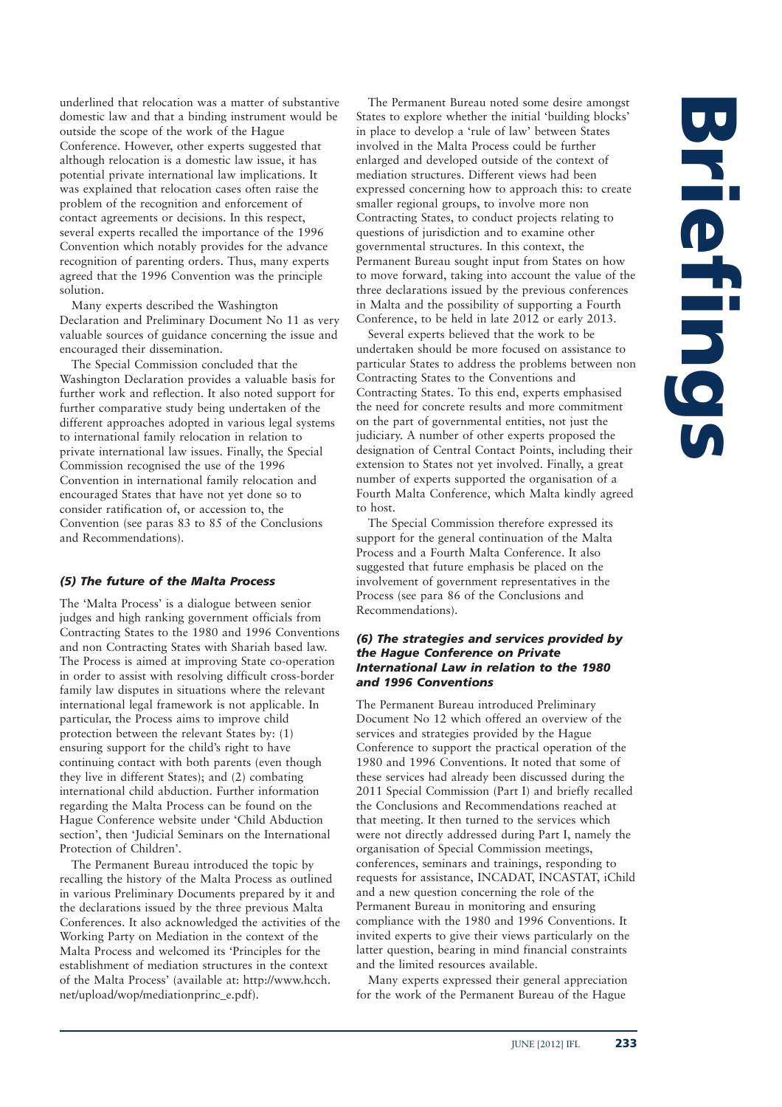underlined that relocation was a matter of substantive domestic law and that a binding instrument would be outside the scope of the work of the Hague Conference. However, other experts suggested that although relocation is a domestic law issue, it has potential private international law implications. It was explained that relocation cases often raise the problem of the recognition and enforcement of contact agreements or decisions. In this respect, several experts recalled the importance of the 1996 Convention which notably provides for the advance recognition of parenting orders. Thus, many experts agreed that the 1996 Convention was the principle solution.

Many experts described the Washington Declaration and Preliminary Document No 11 as very valuable sources of guidance concerning the issue and encouraged their dissemination.

The Special Commission concluded that the Washington Declaration provides a valuable basis for further work and reflection. It also noted support for further comparative study being undertaken of the different approaches adopted in various legal systems to international family relocation in relation to private international law issues. Finally, the Special Commission recognised the use of the 1996 Convention in international family relocation and encouraged States that have not yet done so to consider ratification of, or accession to, the Convention (see paras 83 to 85 of the Conclusions and Recommendations).

### *(5) The future of the Malta Process*

The 'Malta Process' is a dialogue between senior judges and high ranking government officials from Contracting States to the 1980 and 1996 Conventions and non Contracting States with Shariah based law. The Process is aimed at improving State co-operation in order to assist with resolving difficult cross-border family law disputes in situations where the relevant international legal framework is not applicable. In particular, the Process aims to improve child protection between the relevant States by: (1) ensuring support for the child's right to have continuing contact with both parents (even though they live in different States); and (2) combating international child abduction. Further information regarding the Malta Process can be found on the Hague Conference website under 'Child Abduction section', then 'Judicial Seminars on the International Protection of Children'.

The Permanent Bureau introduced the topic by recalling the history of the Malta Process as outlined in various Preliminary Documents prepared by it and the declarations issued by the three previous Malta Conferences. It also acknowledged the activities of the Working Party on Mediation in the context of the Malta Process and welcomed its 'Principles for the establishment of mediation structures in the context of the Malta Process' (available at: http://www.hcch. net/upload/wop/mediationprinc\_e.pdf).

The Permanent Bureau noted some desire amongst States to explore whether the initial 'building blocks' in place to develop a 'rule of law' between States involved in the Malta Process could be further enlarged and developed outside of the context of mediation structures. Different views had been expressed concerning how to approach this: to create smaller regional groups, to involve more non Contracting States, to conduct projects relating to questions of jurisdiction and to examine other governmental structures. In this context, the Permanent Bureau sought input from States on how to move forward, taking into account the value of the three declarations issued by the previous conferences in Malta and the possibility of supporting a Fourth Conference, to be held in late 2012 or early 2013.

Several experts believed that the work to be undertaken should be more focused on assistance to particular States to address the problems between non Contracting States to the Conventions and Contracting States. To this end, experts emphasised the need for concrete results and more commitment on the part of governmental entities, not just the judiciary. A number of other experts proposed the designation of Central Contact Points, including their extension to States not yet involved. Finally, a great number of experts supported the organisation of a Fourth Malta Conference, which Malta kindly agreed to host.

The Special Commission therefore expressed its support for the general continuation of the Malta Process and a Fourth Malta Conference. It also suggested that future emphasis be placed on the involvement of government representatives in the Process (see para 86 of the Conclusions and Recommendations).

### *(6) The strategies and services provided by the Hague Conference on Private International Law in relation to the 1980 and 1996 Conventions*

The Permanent Bureau introduced Preliminary Document No 12 which offered an overview of the services and strategies provided by the Hague Conference to support the practical operation of the 1980 and 1996 Conventions. It noted that some of these services had already been discussed during the 2011 Special Commission (Part I) and briefly recalled the Conclusions and Recommendations reached at that meeting. It then turned to the services which were not directly addressed during Part I, namely the organisation of Special Commission meetings, conferences, seminars and trainings, responding to requests for assistance, INCADAT, INCASTAT, iChild and a new question concerning the role of the Permanent Bureau in monitoring and ensuring compliance with the 1980 and 1996 Conventions. It invited experts to give their views particularly on the latter question, bearing in mind financial constraints and the limited resources available.

Many experts expressed their general appreciation for the work of the Permanent Bureau of the Hague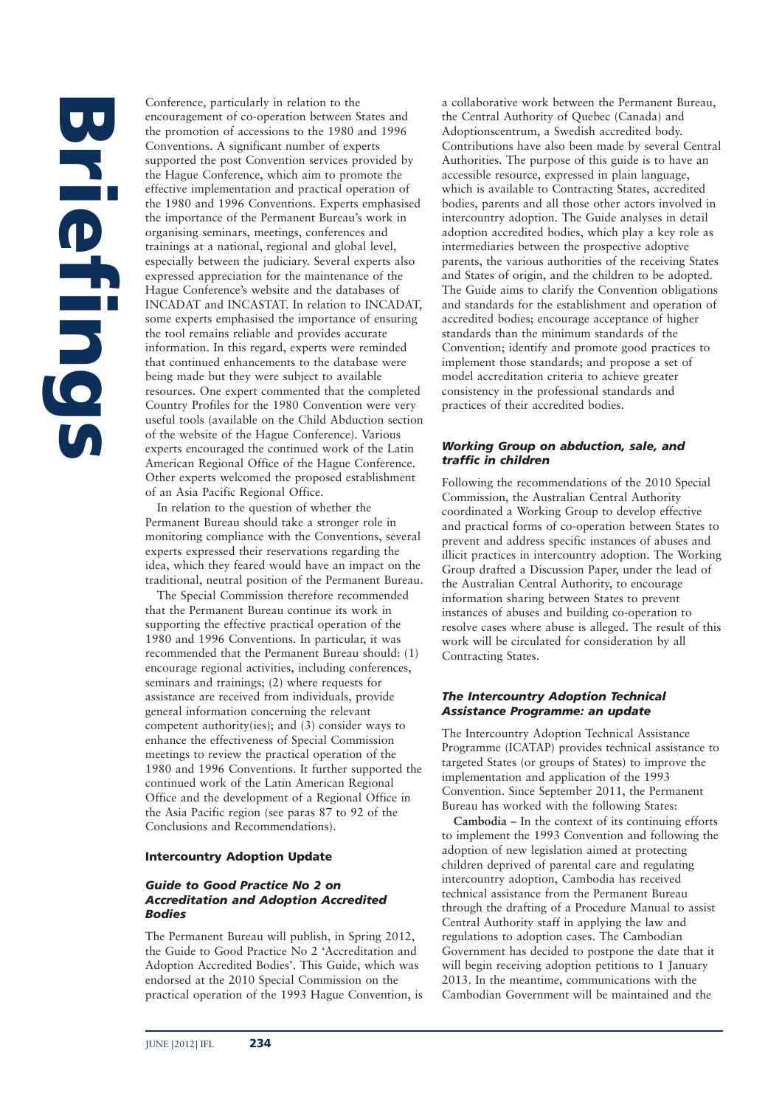# **Briefings**

Conference, particularly in relation to the encouragement of co-operation between States and the promotion of accessions to the 1980 and 1996 Conventions. A significant number of experts supported the post Convention services provided by the Hague Conference, which aim to promote the effective implementation and practical operation of the 1980 and 1996 Conventions. Experts emphasised the importance of the Permanent Bureau's work in organising seminars, meetings, conferences and trainings at a national, regional and global level, especially between the judiciary. Several experts also expressed appreciation for the maintenance of the Hague Conference's website and the databases of INCADAT and INCASTAT. In relation to INCADAT, some experts emphasised the importance of ensuring the tool remains reliable and provides accurate information. In this regard, experts were reminded that continued enhancements to the database were being made but they were subject to available resources. One expert commented that the completed Country Profiles for the 1980 Convention were very useful tools (available on the Child Abduction section of the website of the Hague Conference). Various experts encouraged the continued work of the Latin American Regional Office of the Hague Conference. Other experts welcomed the proposed establishment of an Asia Pacific Regional Office.

In relation to the question of whether the Permanent Bureau should take a stronger role in monitoring compliance with the Conventions, several experts expressed their reservations regarding the idea, which they feared would have an impact on the traditional, neutral position of the Permanent Bureau.

The Special Commission therefore recommended that the Permanent Bureau continue its work in supporting the effective practical operation of the 1980 and 1996 Conventions. In particular, it was recommended that the Permanent Bureau should: (1) encourage regional activities, including conferences, seminars and trainings; (2) where requests for assistance are received from individuals, provide general information concerning the relevant competent authority(ies); and (3) consider ways to enhance the effectiveness of Special Commission meetings to review the practical operation of the 1980 and 1996 Conventions. It further supported the continued work of the Latin American Regional Office and the development of a Regional Office in the Asia Pacific region (see paras 87 to 92 of the Conclusions and Recommendations).

### **Intercountry Adoption Update**

### *Guide to Good Practice No 2 on Accreditation and Adoption Accredited Bodies*

The Permanent Bureau will publish, in Spring 2012, the Guide to Good Practice No 2 'Accreditation and Adoption Accredited Bodies'. This Guide, which was endorsed at the 2010 Special Commission on the practical operation of the 1993 Hague Convention, is a collaborative work between the Permanent Bureau, the Central Authority of Quebec (Canada) and Adoptionscentrum, a Swedish accredited body. Contributions have also been made by several Central Authorities. The purpose of this guide is to have an accessible resource, expressed in plain language, which is available to Contracting States, accredited bodies, parents and all those other actors involved in intercountry adoption. The Guide analyses in detail adoption accredited bodies, which play a key role as intermediaries between the prospective adoptive parents, the various authorities of the receiving States and States of origin, and the children to be adopted. The Guide aims to clarify the Convention obligations and standards for the establishment and operation of accredited bodies; encourage acceptance of higher standards than the minimum standards of the Convention; identify and promote good practices to implement those standards; and propose a set of model accreditation criteria to achieve greater consistency in the professional standards and practices of their accredited bodies.

### *Working Group on abduction, sale, and traffic in children*

Following the recommendations of the 2010 Special Commission, the Australian Central Authority coordinated a Working Group to develop effective and practical forms of co-operation between States to prevent and address specific instances of abuses and illicit practices in intercountry adoption. The Working Group drafted a Discussion Paper, under the lead of the Australian Central Authority, to encourage information sharing between States to prevent instances of abuses and building co-operation to resolve cases where abuse is alleged. The result of this work will be circulated for consideration by all Contracting States.

### *The Intercountry Adoption Technical Assistance Programme: an update*

The Intercountry Adoption Technical Assistance Programme (ICATAP) provides technical assistance to targeted States (or groups of States) to improve the implementation and application of the 1993 Convention. Since September 2011, the Permanent Bureau has worked with the following States:

**Cambodia** – In the context of its continuing efforts to implement the 1993 Convention and following the adoption of new legislation aimed at protecting children deprived of parental care and regulating intercountry adoption, Cambodia has received technical assistance from the Permanent Bureau through the drafting of a Procedure Manual to assist Central Authority staff in applying the law and regulations to adoption cases. The Cambodian Government has decided to postpone the date that it will begin receiving adoption petitions to 1 January 2013. In the meantime, communications with the Cambodian Government will be maintained and the